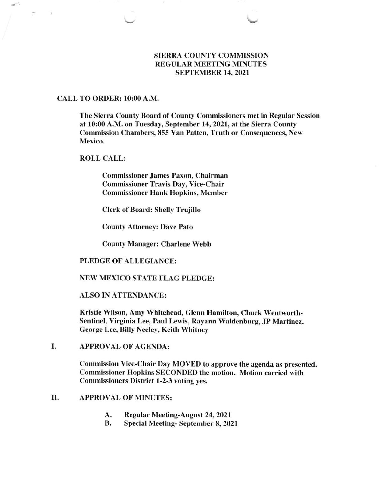# SIERRA COUNTY COMMISSION REGULAR MEETING MINUTES SEPTEMBER 14.2O2I

### CALL TO ORDER: 10:00 A.M.

The Sierra County Board of County Commissioners met in Regular Session at 10:00 A.M. on Tuesday, September 14,2021, at the Sierra County Commission Chambers, 855 Van Patten, Truth or Consequences, New Mexico.

### ROLL CALL:

Commissioner James Paxon, Chairman Commissioner Travis Day, Vice-Chair Commissioner Hank Hopkins, Member

Clerk of Board: Shelly Trujillo

County Attorney: Dave Pato

County Manager: Charlene Webb

### PLEDGE OF ALLEGIANCE:

### NEW MEXICO STATE FLAG PLEDGE:

ALSO IN ATTENDANCE:

Kristie Wilson, Amy Whitehead, Glenn Hamilton, Chuck Wentworth-Sentinel, Virginia Lee, Paul Lewis, Rayann Waldenburg, JP Martinez, George Lee, Billy Neeley, Keith Whitney

APPROVAL OF AGENDA: I

> Commission Vice-Chair Day MOYED to approve the agenda as presented. Commissioner Hopkins SECONDED the motion. Motion carried with Commissioners District 1-2-3 voting yes.

# II. APPROVAL OF MINUTES:

- A. Regular Meeting-August 24,2021
- B. Special Meeting- September 8, <sup>2021</sup>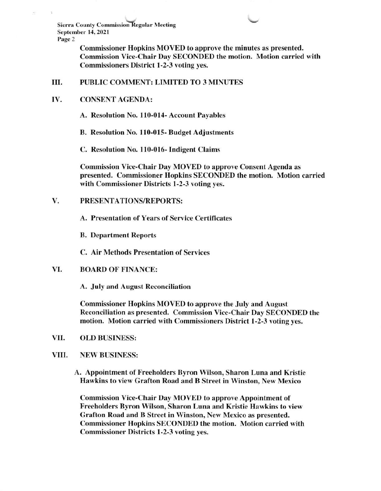Sierra County Commission Regular Meeting September 14, 2021 Page 2

> Commissioner Hopkins MOVED to approve the minutes as presented. Commission Vice-Chair Day SECONDED the motion. Motion carried with Commissioners District l-2-3 voting yes.

#### III PUBLIC COMMENT: LIMITED TO 3 MINUTES

#### IV. CONSENT AGENDA:

A. Resolution No, 110-014- Account Payables

B. Resolution No. I 10-015- Budget Adjustments

C. Resolution No. 110-016- Indigent Claims

Commission Vice-Chair Day MOVED to approve Consent Agenda as presented. Commissioner Hopkins SECONDED the motion. Motion carried with Commissioner Districts 1-2-3 voting yes.

## V. PRESENTATIONS/REPORTS:

A. Presentation of Years of Service Certificates

B. Department Reports

C. Air Methods Presentation of Services

#### VI. BOARD OF FINANCE:

A. July and August Reconciliation

Commissioner Hopkins MOVED to approve the July and August Reconciliation as presented. Commission Vice-Chair Day SECONDED the motion. Motion carried with Commissioners District l-2-3 voting yes.

VII. OLD BUSINESS:

### VIII. NEW BUSINESS:

A. Appointment of Freeholders Byron Wilson, Sharon Luna and Kristie Hawkins to view Grafton Road and B Street in Winston. New Mexico

Commission Vice-Chair Day MOVED to approve Appointment of Freeholders Byron Wilson, Sharon Luna and Kristie Hawkins to view Grafton Road and B Street in Winston, New Mexico as presented. Commissioner Hopkins SECONDED the motion. Motion carried with Commissioner Districts 1-2-3 voting yes.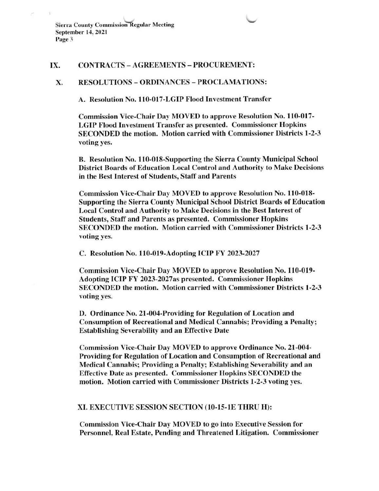Sierra County Commission Regular Meeting September 14, 2021 Page 3

### IX. CONTRACTS - AGREEMENTS - PROCUREMENT:

## X. RESOLUTIONS - ORDINANCES - PROCLAMATIONS:

A. Resolution No. 110-017-LGIP Flood Investment Transfer

Commission Vice-Chair Day MOVED to approve Resolution No. 110-017- LGIP Flood Investment Transfer as presented. Commissioner Hopkins SECONDED the motion. Motion carried with Commissioner Districts 1-2-3 voting yes.

B, Resolution No. 110-018-Supporting the Sierra County Municipal School District Boards of Education Local Control and Authority to Make Decisions in the Best Interest of Students, Staff and Parents

Commission Vice-Chair Day MOVED to approye Resolution No. 110-018- Supporting the Sierra County Municipal School District Boards of Education Local Control and Authority to Make Decisions in the Best Interest of Students, Staffand Parents as presented. Commissioner Hopkins SECONDED the motion. Motion carried with Commissioner Districts 1-2-3 voting yes.

C. Resolution No. 110-019-Adopting ICIP FY 2023-2027

Commission Vice-Chair Day MOVED to approve Resolution No. 110-019- Adopting ICIP FY 2O23-2027 as presented. Commissioner Hopkins SECONDED the motion. Motion carried with Commissioner Districts l-2-3 voting yes.

D. Ordinance No. 21-004-Providing for Regulation of Location and Consumption of Recreational and Medical Cannabis; Providing a Penalty; Establishing Severability and an Effective Date

Commission Vice-Chair Day MOVED to approve Ordinance No. 2l-004- Providing for Regulation of Location and Consumption of Recreational and Medical Cannabis; Providing a Penalty; Establishing Severability and an Effective Date as presented. Commissioner Hopkins SECONDED the motion. Motion carried with Commissioner Districts l-2-3 voting yes.

### XI. EXECUTIVE SESSION SECTION (10-15-1E THRU H):

Commission Vice-Chair Day MOVED to go into Executive Session for Personnel, Real Estate, Pending and Threatened Litigation. Commissioner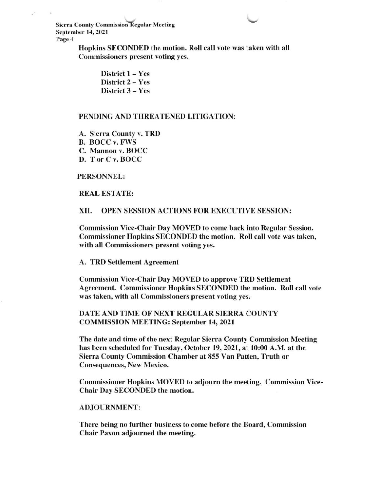Sierra County Commission-Regular Meeting September 14, 2021 Page 4

> Hopkins SECONDED the motion. Roll call vote was taken with all Commissioners present voting yes.

> > District 1 - Yes District 2 - Yes District 3 - Yes

### PENDING AND THREATENED LITIGATION:

A. Sierra County v. TRD B. BOCC v. FWS C. Mannon v. BOCC D. T or C v. BOCC

PERSONNEL:

REAL ESTATE:

XII. OPEN SESSION ACTIONS FOR EXECUTIVE SESSION:

Commission Vice-Chair Day MOVED to come back into Regular Session. Commissioner Hopkins SECONDED the motion. Roll call vote was taken, with all Commissioners present voting yes.

A. TRD Settlement Agreement

Commission Vice-Chair Day MOVED to approve TRD Settlement Agreement. Commissioner Hopkins SECONDED the motion. Roll call vote was taken, with all Commissioners present voting yes.

DATE AND TIME OF NEXT REGULAR SIERRA COUNTY COMMISSION MEETING: September 14, 2021

The date and time of the next Regular Sierra County Commission Meeting has been scheduled for Tuesday, October 19,2021, at 10:00 A.M. at the Sierra County Commission Chamber at 855 Van Patten, Truth or Consequences, New Mexico.

Commissioner Hopkins MOVED to adjourn the meeting. Commission Vice-Chair Day SECONDED the motion.

### ADJOURNMENT:

There being no further business to come before the Board, Commission Chair Paxon adjourned the meeting.